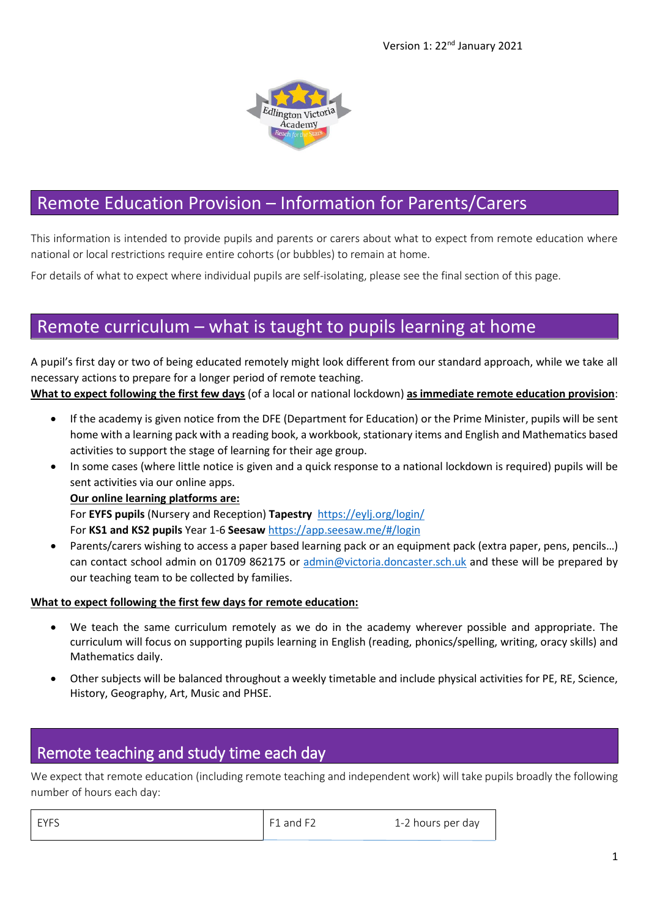

# Remote Education Provision – Information for Parents/Carers

This information is intended to provide pupils and parents or carers about what to expect from remote education where national or local restrictions require entire cohorts (or bubbles) to remain at home.

For details of what to expect where individual pupils are self-isolating, please see the final section of this page.

# Remote curriculum – what is taught to pupils learning at home

A pupil's first day or two of being educated remotely might look different from our standard approach, while we take all necessary actions to prepare for a longer period of remote teaching.

#### **What to expect following the first few days** (of a local or national lockdown) **as immediate remote education provision**:

- If the academy is given notice from the DFE (Department for Education) or the Prime Minister, pupils will be sent home with a learning pack with a reading book, a workbook, stationary items and English and Mathematics based activities to support the stage of learning for their age group.
- In some cases (where little notice is given and a quick response to a national lockdown is required) pupils will be sent activities via our online apps.

#### **Our online learning platforms are:**

For **EYFS pupils** (Nursery and Reception) **Tapestry** <https://eylj.org/login/>

For **KS1 and KS2 pupils** Year 1-6 **Seesaw** <https://app.seesaw.me/#/login>

 Parents/carers wishing to access a paper based learning pack or an equipment pack (extra paper, pens, pencils…) can contact school admin on 01709 862175 or [admin@victoria.doncaster.sch.uk](mailto:admin@victoria.doncaster.sch.uk) and these will be prepared by our teaching team to be collected by families.

#### **What to expect following the first few days for remote education:**

- We teach the same curriculum remotely as we do in the academy wherever possible and appropriate. The curriculum will focus on supporting pupils learning in English (reading, phonics/spelling, writing, oracy skills) and Mathematics daily.
- Other subjects will be balanced throughout a weekly timetable and include physical activities for PE, RE, Science, History, Geography, Art, Music and PHSE.

## Remote teaching and study time each day

We expect that remote education (including remote teaching and independent work) will take pupils broadly the following number of hours each day:

| EYFS | $F1$ and F2 | 1-2 hours per day |
|------|-------------|-------------------|
|      |             |                   |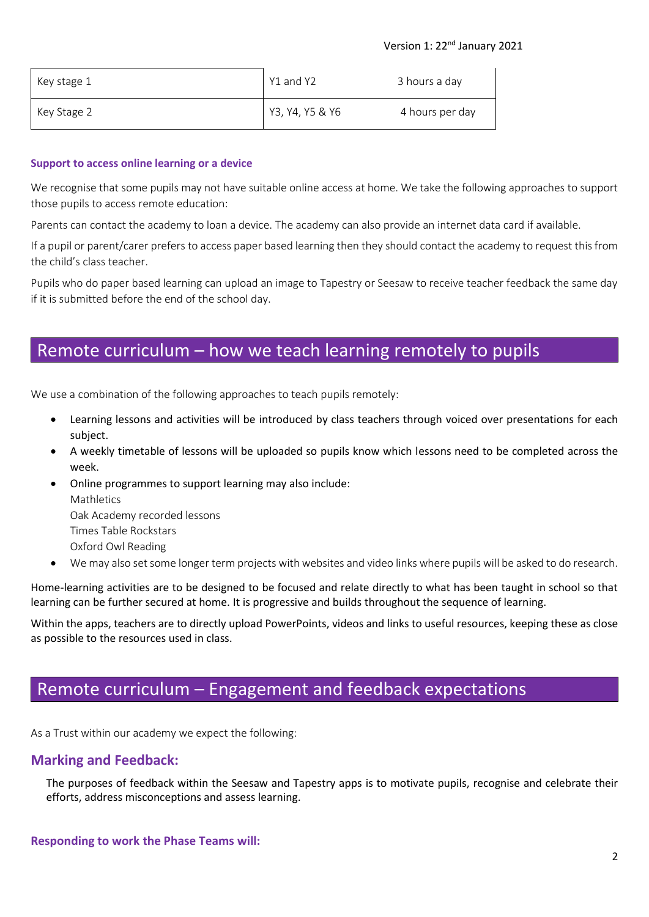#### Version 1: 22nd January 2021

| Key stage 1 | Y1 and Y2       | 3 hours a day   |
|-------------|-----------------|-----------------|
| Key Stage 2 | Y3, Y4, Y5 & Y6 | 4 hours per day |

#### **Support to access online learning or a device**

We recognise that some pupils may not have suitable online access at home. We take the following approaches to support those pupils to access remote education:

Parents can contact the academy to loan a device. The academy can also provide an internet data card if available.

If a pupil or parent/carer prefers to access paper based learning then they should contact the academy to request this from the child's class teacher.

Pupils who do paper based learning can upload an image to Tapestry or Seesaw to receive teacher feedback the same day if it is submitted before the end of the school day.

# Remote curriculum – how we teach learning remotely to pupils

We use a combination of the following approaches to teach pupils remotely:

- Learning lessons and activities will be introduced by class teachers through voiced over presentations for each subject.
- A weekly timetable of lessons will be uploaded so pupils know which lessons need to be completed across the week.
- Online programmes to support learning may also include: **Mathletics** Oak Academy recorded lessons Times Table Rockstars Oxford Owl Reading
- We may also set some longer term projects with websites and video links where pupils will be asked to do research.

Home-learning activities are to be designed to be focused and relate directly to what has been taught in school so that learning can be further secured at home. It is progressive and builds throughout the sequence of learning.

Within the apps, teachers are to directly upload PowerPoints, videos and links to useful resources, keeping these as close as possible to the resources used in class.

# Remote curriculum – Engagement and feedback expectations

As a Trust within our academy we expect the following:

### **Marking and Feedback:**

The purposes of feedback within the Seesaw and Tapestry apps is to motivate pupils, recognise and celebrate their efforts, address misconceptions and assess learning.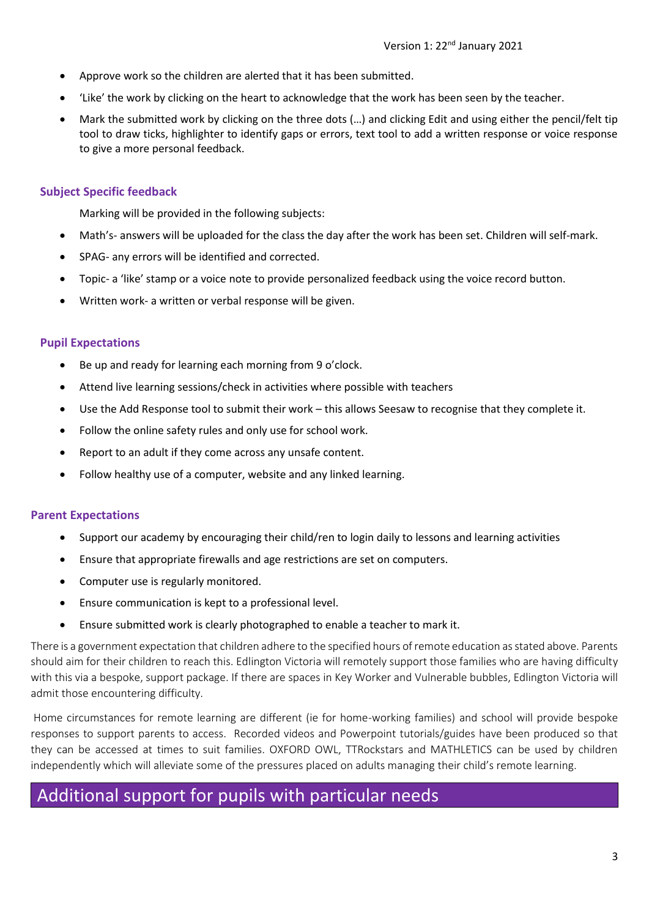- Approve work so the children are alerted that it has been submitted.
- 'Like' the work by clicking on the heart to acknowledge that the work has been seen by the teacher.
- Mark the submitted work by clicking on the three dots (…) and clicking Edit and using either the pencil/felt tip tool to draw ticks, highlighter to identify gaps or errors, text tool to add a written response or voice response to give a more personal feedback.

### **Subject Specific feedback**

Marking will be provided in the following subjects:

- Math's- answers will be uploaded for the class the day after the work has been set. Children will self-mark.
- SPAG- any errors will be identified and corrected.
- Topic- a 'like' stamp or a voice note to provide personalized feedback using the voice record button.
- Written work- a written or verbal response will be given.

### **Pupil Expectations**

- Be up and ready for learning each morning from 9 o'clock.
- Attend live learning sessions/check in activities where possible with teachers
- Use the Add Response tool to submit their work this allows Seesaw to recognise that they complete it.
- Follow the online safety rules and only use for school work.
- Report to an adult if they come across any unsafe content.
- Follow healthy use of a computer, website and any linked learning.

### **Parent Expectations**

- Support our academy by encouraging their child/ren to login daily to lessons and learning activities
- Ensure that appropriate firewalls and age restrictions are set on computers.
- Computer use is regularly monitored.
- Ensure communication is kept to a professional level.
- Ensure submitted work is clearly photographed to enable a teacher to mark it.

There is a government expectation that children adhere to the specified hours of remote education as stated above. Parents should aim for their children to reach this. Edlington Victoria will remotely support those families who are having difficulty with this via a bespoke, support package. If there are spaces in Key Worker and Vulnerable bubbles, Edlington Victoria will admit those encountering difficulty.

Home circumstances for remote learning are different (ie for home-working families) and school will provide bespoke responses to support parents to access. Recorded videos and Powerpoint tutorials/guides have been produced so that they can be accessed at times to suit families. OXFORD OWL, TTRockstars and MATHLETICS can be used by children independently which will alleviate some of the pressures placed on adults managing their child's remote learning.

# Additional support for pupils with particular needs